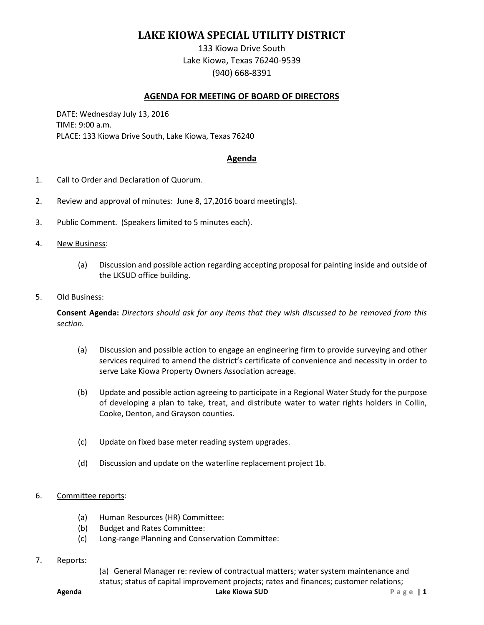## **LAKE KIOWA SPECIAL UTILITY DISTRICT**

133 Kiowa Drive South Lake Kiowa, Texas 76240-9539 (940) 668-8391

## **AGENDA FOR MEETING OF BOARD OF DIRECTORS**

DATE: Wednesday July 13, 2016 TIME: 9:00 a.m. PLACE: 133 Kiowa Drive South, Lake Kiowa, Texas 76240

## **Agenda**

- 1. Call to Order and Declaration of Quorum.
- 2. Review and approval of minutes: June 8, 17,2016 board meeting(s).
- 3. Public Comment. (Speakers limited to 5 minutes each).
- 4. New Business:
	- (a) Discussion and possible action regarding accepting proposal for painting inside and outside of the LKSUD office building.
- 5. Old Business:

**Consent Agenda:** *Directors should ask for any items that they wish discussed to be removed from this section.*

- (a) Discussion and possible action to engage an engineering firm to provide surveying and other services required to amend the district's certificate of convenience and necessity in order to serve Lake Kiowa Property Owners Association acreage.
- (b) Update and possible action agreeing to participate in a Regional Water Study for the purpose of developing a plan to take, treat, and distribute water to water rights holders in Collin, Cooke, Denton, and Grayson counties.
- (c) Update on fixed base meter reading system upgrades.
- (d) Discussion and update on the waterline replacement project 1b.

## 6. Committee reports:

- (a) Human Resources (HR) Committee:
- (b) Budget and Rates Committee:
- (c) Long-range Planning and Conservation Committee:
- 7. Reports:
- (a) General Manager re: review of contractual matters; water system maintenance and status; status of capital improvement projects; rates and finances; customer relations;